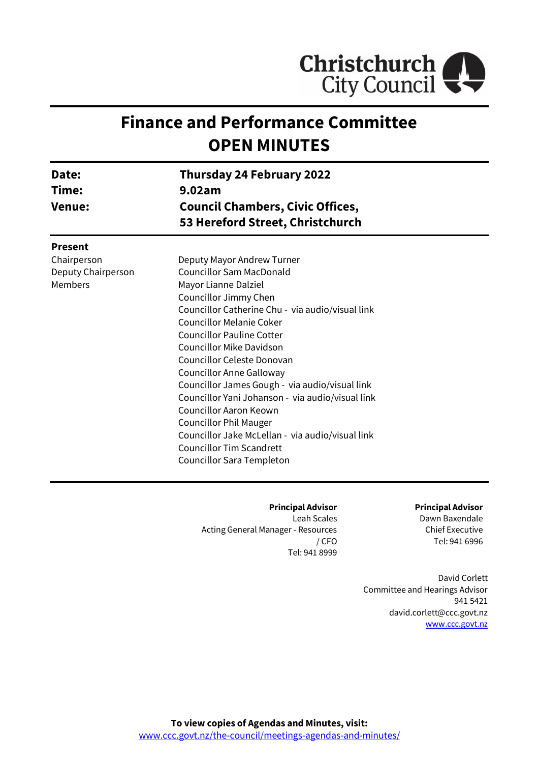

# **Finance and Performance Committee OPEN MINUTES**

| Date:<br>Time:<br><b>Venue:</b> | <b>Thursday 24 February 2022</b><br>9.02am<br><b>Council Chambers, Civic Offices,</b><br>53 Hereford Street, Christchurch |  |
|---------------------------------|---------------------------------------------------------------------------------------------------------------------------|--|
| <b>Present</b>                  |                                                                                                                           |  |
| Chairperson                     | Deputy Mayor Andrew Turner                                                                                                |  |
| Deputy Chairperson              | <b>Councillor Sam MacDonald</b>                                                                                           |  |
| Members                         | Mayor Lianne Dalziel                                                                                                      |  |
|                                 | Councillor Jimmy Chen                                                                                                     |  |
|                                 | Councillor Catherine Chu - via audio/visual link                                                                          |  |
|                                 | <b>Councillor Melanie Coker</b>                                                                                           |  |
|                                 | <b>Councillor Pauline Cotter</b>                                                                                          |  |
|                                 | <b>Councillor Mike Davidson</b>                                                                                           |  |
|                                 | Councillor Celeste Donovan                                                                                                |  |
|                                 | <b>Councillor Anne Galloway</b>                                                                                           |  |
|                                 | Councillor James Gough - via audio/visual link                                                                            |  |
|                                 | Councillor Yani Johanson - via audio/visual link                                                                          |  |
|                                 | Councillor Aaron Keown                                                                                                    |  |
|                                 | <b>Councillor Phil Mauger</b>                                                                                             |  |
|                                 | Councillor Jake McLellan - via audio/visual link                                                                          |  |
|                                 | <b>Councillor Tim Scandrett</b>                                                                                           |  |
|                                 | Councillor Sara Templeton                                                                                                 |  |

**Principal Advisor** Leah Scales Acting General Manager - Resources / CFO Tel: 941 8999

**Principal Advisor**

Dawn Baxendale Chief Executive Tel: 941 6996

David Corlett Committee and Hearings Advisor 941 5421 david.corlett@ccc.govt.nz [www.ccc.govt.nz](http://www.ccc.govt.nz/)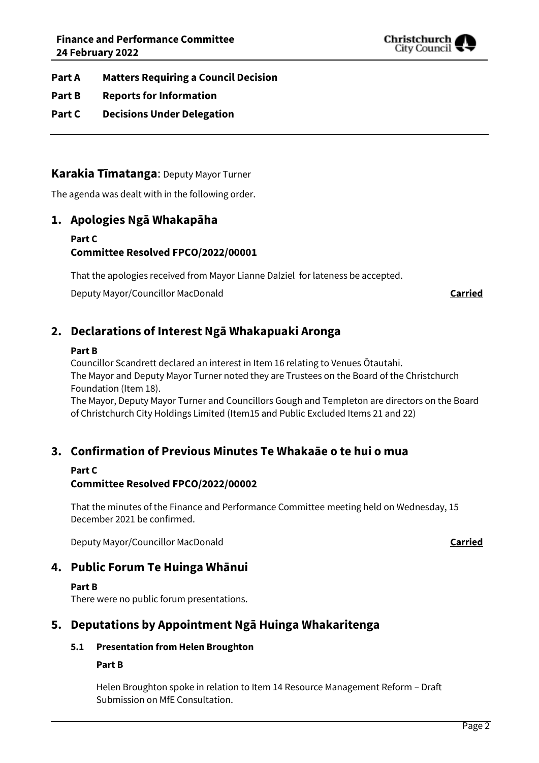

- **Part A Matters Requiring a Council Decision**
- **Part B Reports for Information**
- **Part C Decisions Under Delegation**

# **Karakia Tīmatanga**: Deputy Mayor Turner

The agenda was dealt with in the following order.

# **1. Apologies Ngā Whakapāha**

## **Part C Committee Resolved FPCO/2022/00001**

That the apologies received from Mayor Lianne Dalziel for lateness be accepted.

Deputy Mayor/Councillor MacDonald **Carried**

# **2. Declarations of Interest Ngā Whakapuaki Aronga**

#### **Part B**

Councillor Scandrett declared an interest in Item 16 relating to Venues Ōtautahi. The Mayor and Deputy Mayor Turner noted they are Trustees on the Board of the Christchurch Foundation (Item 18).

The Mayor, Deputy Mayor Turner and Councillors Gough and Templeton are directors on the Board of Christchurch City Holdings Limited (Item15 and Public Excluded Items 21 and 22)

# **3. Confirmation of Previous Minutes Te Whakaāe o te hui o mua**

#### **Part C**

# **Committee Resolved FPCO/2022/00002**

That the minutes of the Finance and Performance Committee meeting held on Wednesday, 15 December 2021 be confirmed.

Deputy Mayor/Councillor MacDonald **Carried**

# **4. Public Forum Te Huinga Whānui**

#### **Part B**

There were no public forum presentations.

# **5. Deputations by Appointment Ngā Huinga Whakaritenga**

# **5.1 Presentation from Helen Broughton**

#### **Part B**

Helen Broughton spoke in relation to Item 14 Resource Management Reform – Draft Submission on MfE Consultation.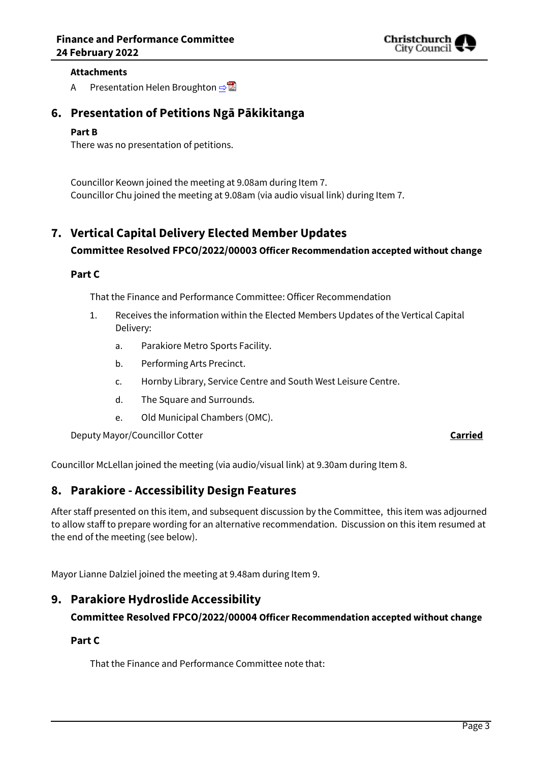

#### **Attachments**

A Presentation Helen Broughton [⇨](../../../RedirectToInvalidFileName.aspx?FileName=FPCO_20220224_MAT_7510.PDF#PAGE=1)

# **6. Presentation of Petitions Ngā Pākikitanga**

#### **Part B**

There was no presentation of petitions.

Councillor Keown joined the meeting at 9.08am during Item 7. Councillor Chu joined the meeting at 9.08am (via audio visual link) during Item 7.

# **7. Vertical Capital Delivery Elected Member Updates**

# **Committee Resolved FPCO/2022/00003 Officer Recommendation accepted without change**

## **Part C**

That the Finance and Performance Committee: Officer Recommendation

- 1. Receives the information within the Elected Members Updates of the Vertical Capital Delivery:
	- a. Parakiore Metro Sports Facility.
	- b. Performing Arts Precinct.
	- c. Hornby Library, Service Centre and South West Leisure Centre.
	- d. The Square and Surrounds.
	- e. Old Municipal Chambers (OMC).

Deputy Mayor/Councillor Cotter **Carried**

Councillor McLellan joined the meeting (via audio/visual link) at 9.30am during Item 8.

# **8. Parakiore - Accessibility Design Features**

After staff presented on this item, and subsequent discussion by the Committee, this item was adjourned to allow staff to prepare wording for an alternative recommendation. Discussion on this item resumed at the end of the meeting (see below).

Mayor Lianne Dalziel joined the meeting at 9.48am during Item 9.

# **9. Parakiore Hydroslide Accessibility**

# **Committee Resolved FPCO/2022/00004 Officer Recommendation accepted without change**

# **Part C**

That the Finance and Performance Committee note that: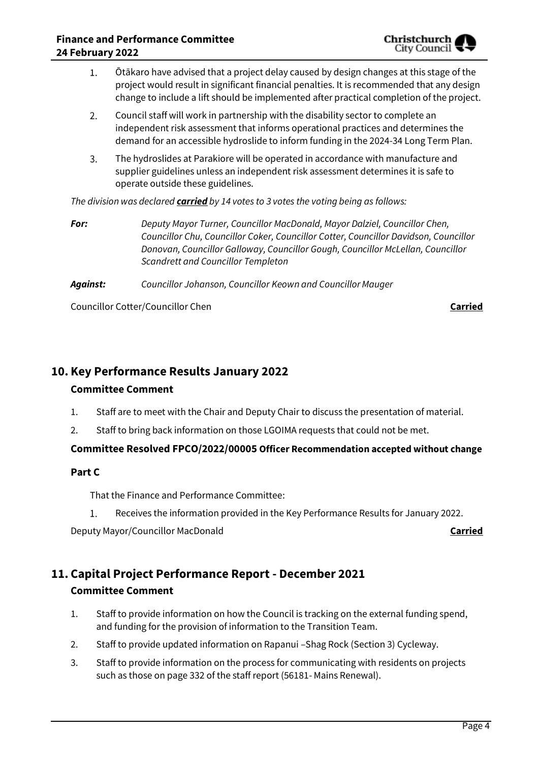

- Ōtākaro have advised that a project delay caused by design changes at this stage of the 1. project would result in significant financial penalties. It is recommended that any design change to include a lift should be implemented after practical completion of the project.
- $2.$ Council staff will work in partnership with the disability sector to complete an independent risk assessment that informs operational practices and determines the demand for an accessible hydroslide to inform funding in the 2024-34 Long Term Plan.
- $\overline{3}$ . The hydroslides at Parakiore will be operated in accordance with manufacture and supplier guidelines unless an independent risk assessment determines it is safe to operate outside these guidelines.

*The division was declared carried by 14 votes to 3 votes the voting being as follows:*

*For: Deputy Mayor Turner, Councillor MacDonald, Mayor Dalziel, Councillor Chen, Councillor Chu, Councillor Coker, Councillor Cotter, Councillor Davidson, Councillor Donovan, Councillor Galloway, Councillor Gough, Councillor McLellan, Councillor Scandrett and Councillor Templeton*

*Against: Councillor Johanson, Councillor Keown and Councillor Mauger*

Councillor Cotter/Councillor Chen **Carried**

# **10. Key Performance Results January 2022**

# **Committee Comment**

- 1. Staff are to meet with the Chair and Deputy Chair to discuss the presentation of material.
- 2. Staff to bring back information on those LGOIMA requests that could not be met.

# **Committee Resolved FPCO/2022/00005 Officer Recommendation accepted without change**

# **Part C**

That the Finance and Performance Committee:

 $1.$ Receives the information provided in the Key Performance Results for January 2022.

Deputy Mayor/Councillor MacDonald **Carried**

# **11. Capital Project Performance Report - December 2021 Committee Comment**

- 1. Staff to provide information on how the Council is tracking on the external funding spend, and funding for the provision of information to the Transition Team.
- 2. Staff to provide updated information on Rapanui –Shag Rock (Section 3) Cycleway.
- 3. Staff to provide information on the process for communicating with residents on projects such as those on page 332 of the staff report (56181- Mains Renewal).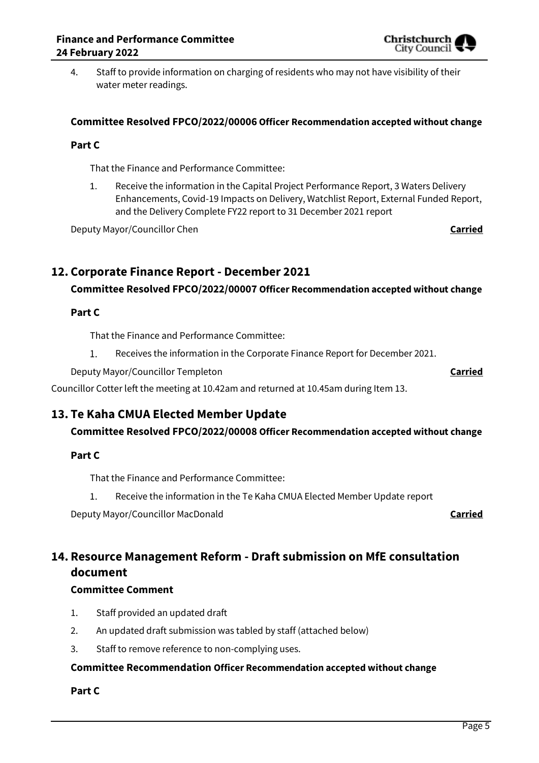4. Staff to provide information on charging of residents who may not have visibility of their water meter readings.

# **Committee Resolved FPCO/2022/00006 Officer Recommendation accepted without change**

# **Part C**

That the Finance and Performance Committee:

1. Receive the information in the Capital Project Performance Report, 3 Waters Delivery Enhancements, Covid-19 Impacts on Delivery, Watchlist Report, External Funded Report, and the Delivery Complete FY22 report to 31 December 2021 report

Deputy Mayor/Councillor Chen **Carried**

# **12. Corporate Finance Report - December 2021**

# **Committee Resolved FPCO/2022/00007 Officer Recommendation accepted without change**

## **Part C**

That the Finance and Performance Committee:

 $1<sub>1</sub>$ Receives the information in the Corporate Finance Report for December 2021.

Deputy Mayor/Councillor Templeton **Carried**

Councillor Cotter left the meeting at 10.42am and returned at 10.45am during Item 13.

# **13. Te Kaha CMUA Elected Member Update**

**Committee Resolved FPCO/2022/00008 Officer Recommendation accepted without change**

# **Part C**

That the Finance and Performance Committee:

 $1.$ Receive the information in the Te Kaha CMUA Elected Member Update report

Deputy Mayor/Councillor MacDonald **Carried**

# **14. Resource Management Reform - Draft submission on MfE consultation document**

# **Committee Comment**

- 1. Staff provided an updated draft
- 2. An updated draft submission was tabled by staff (attached below)
- 3. Staff to remove reference to non-complying uses.

## **Committee Recommendation Officer Recommendation accepted without change**

# **Part C**

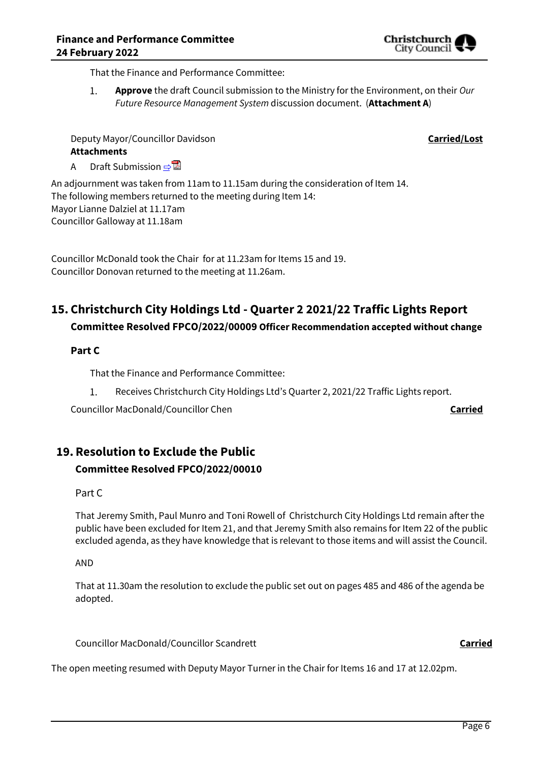That the Finance and Performance Committee:

 $1.$ **Approve** the draft Council submission to the Ministry for the Environment, on their *Our Future Resource Management System* discussion document. (**Attachment A**)

Deputy Mayor/Councillor Davidson **Carried/Lost**

# **Attachments**

A Draft Submission ⇒

An adjournment was taken from 11am to 11.15am during the consideration of Item 14. The following members returned to the meeting during Item 14: Mayor Lianne Dalziel at 11.17am Councillor Galloway at 11.18am

Councillor McDonald took the Chair for at 11.23am for Items 15 and 19. Councillor Donovan returned to the meeting at 11.26am.

# **15. Christchurch City Holdings Ltd - Quarter 2 2021/22 Traffic Lights Report**

# **Committee Resolved FPCO/2022/00009 Officer Recommendation accepted without change**

# **Part C**

That the Finance and Performance Committee:

 $1.$ Receives Christchurch City Holdings Ltd's Quarter 2, 2021/22 Traffic Lights report.

Councillor MacDonald/Councillor Chen **Carried**

# **19. Resolution to Exclude the Public**

# **Committee Resolved FPCO/2022/00010**

#### Part C

That Jeremy Smith, Paul Munro and Toni Rowell of Christchurch City Holdings Ltd remain after the public have been excluded for Item 21, and that Jeremy Smith also remains for Item 22 of the public excluded agenda, as they have knowledge that is relevant to those items and will assist the Council.

AND

That at 11.30am the resolution to exclude the public set out on pages 485 and 486 of the agenda be adopted.

Councillor MacDonald/Councillor Scandrett **Carried**

The open meeting resumed with Deputy Mayor Turner in the Chair for Items 16 and 17 at 12.02pm.

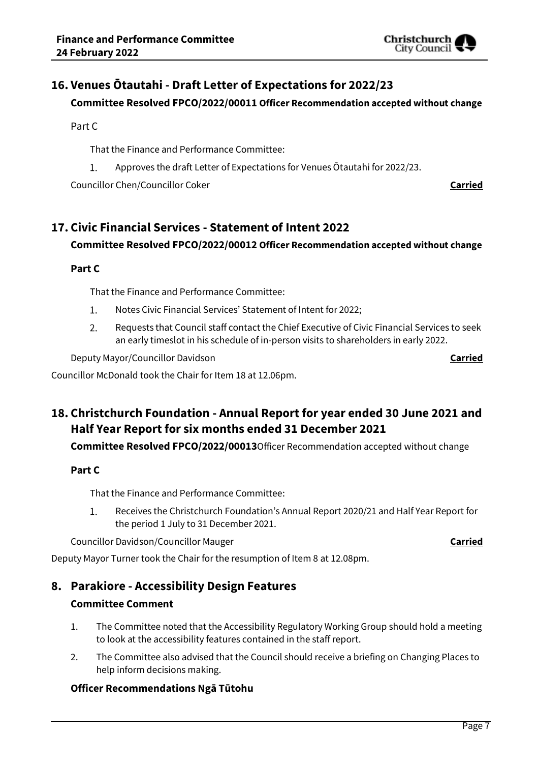

Christchurch City Counci

# **16. Venues Ōtautahi - Draft Letter of Expectations for 2022/23**

## **Committee Resolved FPCO/2022/00011 Officer Recommendation accepted without change**

Part C

That the Finance and Performance Committee:

Approves the draft Letter of Expectations for Venues Ōtautahi for 2022/23.  $1.$ 

Councillor Chen/Councillor Coker **Carried**

# **17. Civic Financial Services - Statement of Intent 2022**

## **Committee Resolved FPCO/2022/00012 Officer Recommendation accepted without change**

# **Part C**

That the Finance and Performance Committee:

- $1.$ Notes Civic Financial Services' Statement of Intent for 2022;
- $2.$ Requests that Council staff contact the Chief Executive of Civic Financial Services to seek an early timeslot in his schedule of in-person visits to shareholders in early 2022.

Deputy Mayor/Councillor Davidson **Carried**

Councillor McDonald took the Chair for Item 18 at 12.06pm.

# **18. Christchurch Foundation - Annual Report for year ended 30 June 2021 and Half Year Report for six months ended 31 December 2021**

**Committee Resolved FPCO/2022/00013**Officer Recommendation accepted without change

# **Part C**

That the Finance and Performance Committee:

 $1.$ Receives the Christchurch Foundation's Annual Report 2020/21 and Half Year Report for the period 1 July to 31 December 2021.

Councillor Davidson/Councillor Mauger **Carried**

Deputy Mayor Turner took the Chair for the resumption of Item 8 at 12.08pm.

# **8. Parakiore - Accessibility Design Features Committee Comment**

- 1. The Committee noted that the Accessibility Regulatory Working Group should hold a meeting to look at the accessibility features contained in the staff report.
- 2. The Committee also advised that the Council should receive a briefing on Changing Places to help inform decisions making.

# **Officer Recommendations Ngā Tūtohu**